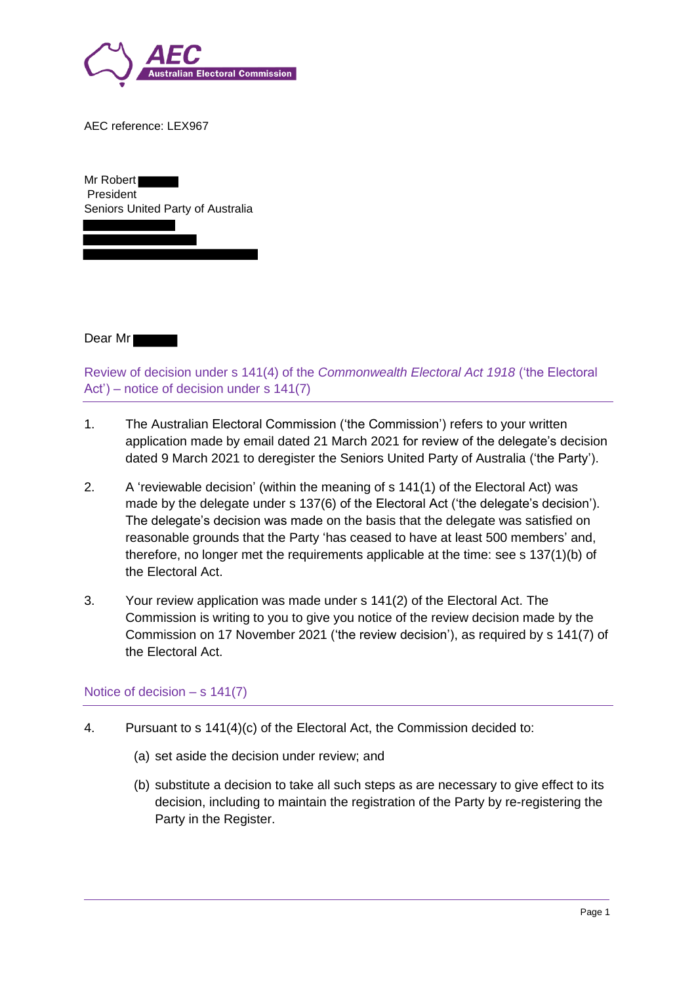

AEC reference: LEX967

Mr Robert President Seniors United Party of Australia

Dear Mr

Review of decision under s 141(4) of the *Commonwealth Electoral Act 1918* ('the Electoral Act') – notice of decision under s 141(7)

- 1. The Australian Electoral Commission ('the Commission') refers to your written application made by email dated 21 March 2021 for review of the delegate's decision dated 9 March 2021 to deregister the Seniors United Party of Australia ('the Party').
- 2. A 'reviewable decision' (within the meaning of s 141(1) of the Electoral Act) was made by the delegate under s 137(6) of the Electoral Act ('the delegate's decision'). The delegate's decision was made on the basis that the delegate was satisfied on reasonable grounds that the Party 'has ceased to have at least 500 members' and, therefore, no longer met the requirements applicable at the time: see s 137(1)(b) of the Electoral Act.
- 3. Your review application was made under s 141(2) of the Electoral Act. The Commission is writing to you to give you notice of the review decision made by the Commission on 17 November 2021 ('the review decision'), as required by s 141(7) of the Electoral Act.

# Notice of decision  $- s 141(7)$

- 4. Pursuant to s 141(4)(c) of the Electoral Act, the Commission decided to:
	- (a) set aside the decision under review; and
	- (b) substitute a decision to take all such steps as are necessary to give effect to its decision, including to maintain the registration of the Party by re-registering the Party in the Register.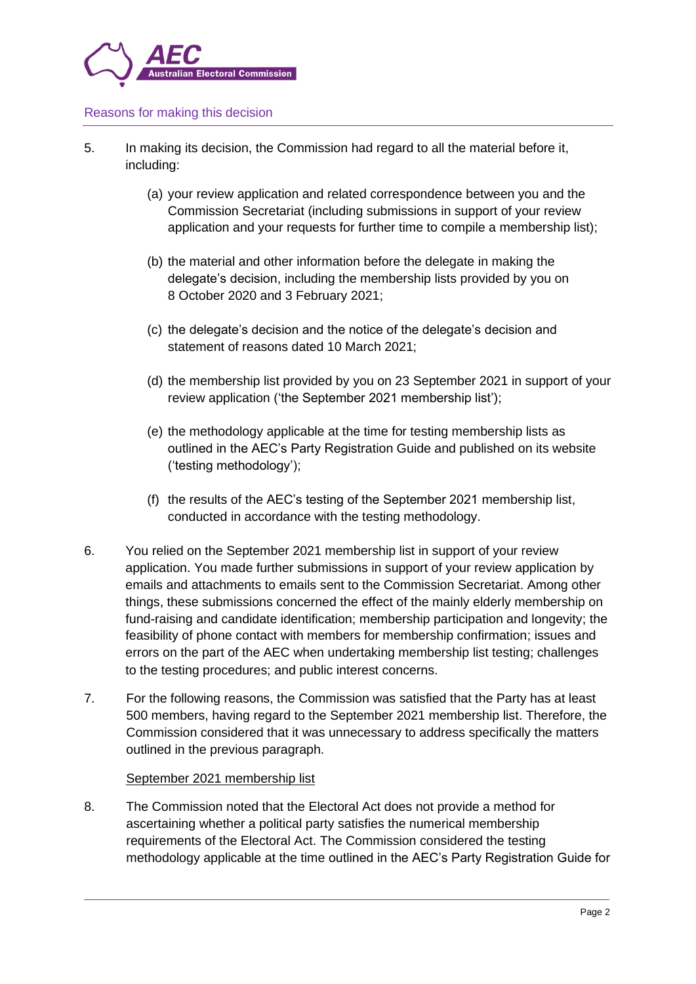

## Reasons for making this decision

- 5. In making its decision, the Commission had regard to all the material before it, including:
	- (a) your review application and related correspondence between you and the Commission Secretariat (including submissions in support of your review application and your requests for further time to compile a membership list);
	- (b) the material and other information before the delegate in making the delegate's decision, including the membership lists provided by you on 8 October 2020 and 3 February 2021;
	- (c) the delegate's decision and the notice of the delegate's decision and statement of reasons dated 10 March 2021;
	- (d) the membership list provided by you on 23 September 2021 in support of your review application ('the September 2021 membership list');
	- (e) the methodology applicable at the time for testing membership lists as outlined in the AEC's Party Registration Guide and published on its website ('testing methodology');
	- (f) the results of the AEC's testing of the September 2021 membership list, conducted in accordance with the testing methodology.
- 6. You relied on the September 2021 membership list in support of your review application. You made further submissions in support of your review application by emails and attachments to emails sent to the Commission Secretariat. Among other things, these submissions concerned the effect of the mainly elderly membership on fund-raising and candidate identification; membership participation and longevity; the feasibility of phone contact with members for membership confirmation; issues and errors on the part of the AEC when undertaking membership list testing; challenges to the testing procedures; and public interest concerns.
- 7. For the following reasons, the Commission was satisfied that the Party has at least 500 members, having regard to the September 2021 membership list. Therefore, the Commission considered that it was unnecessary to address specifically the matters outlined in the previous paragraph.

## September 2021 membership list

8. The Commission noted that the Electoral Act does not provide a method for ascertaining whether a political party satisfies the numerical membership requirements of the Electoral Act. The Commission considered the testing methodology applicable at the time outlined in the AEC's Party Registration Guide for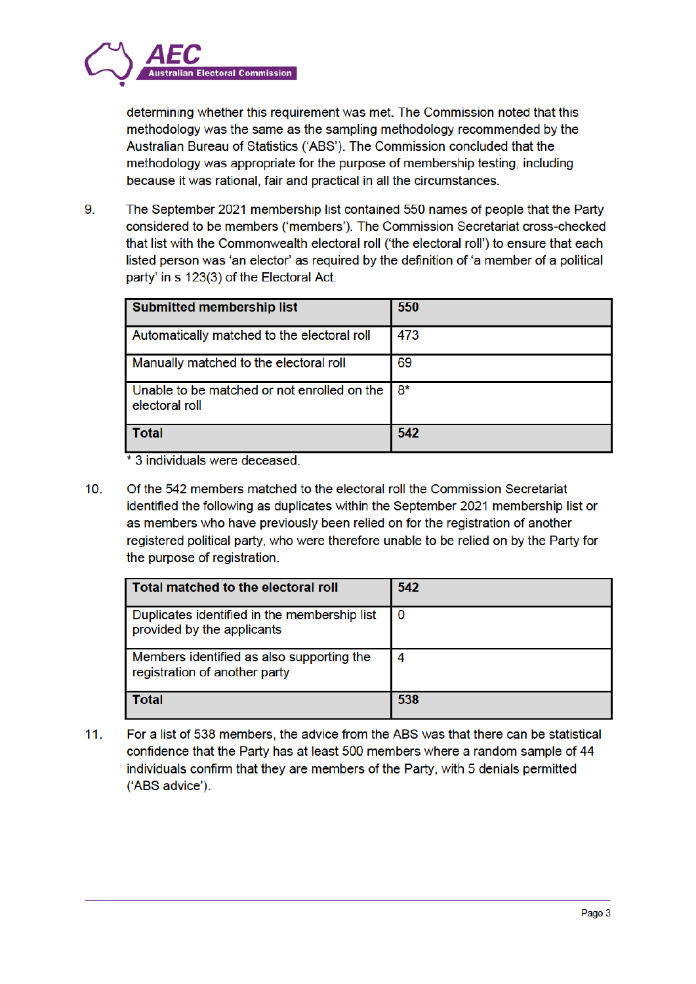

determining whether this requirement was met. The Commission noted that this methodology was the same as the sampling methodology recommended by the Australian Bureau of Statistics ('ABS'). The Commission concluded that the methodology was appropriate for the purpose of membership testing, including because it was rational, fair and practical in all the circumstances.

9. The September 2021 membership list contained 550 names of people that the Party considered to be members ('members'). The Commission Secretariat cross-checked that list with the Commonwealth electoral roll ('the electoral roll') to ensure that each listed person was 'an elector' as required by the definition of 'a member of a political party' in s 123(3) of the Electoral Act.

| <b>Submitted membership list</b>                              | 550 |
|---------------------------------------------------------------|-----|
| Automatically matched to the electoral roll                   | 473 |
| Manually matched to the electoral roll                        | 69  |
| Unable to be matched or not enrolled on the<br>electoral roll | 8*  |
| <b>Total</b>                                                  | 542 |

\* 3 individuals were deceased

 $10.$ Of the 542 members matched to the electoral roll the Commission Secretariat identified the following as duplicates within the September 2021 membership list or as members who have previously been relied on for the registration of another registered political party, who were therefore unable to be relied on by the Party for the purpose of registration.

| Total matched to the electoral roll                                        | 542 |
|----------------------------------------------------------------------------|-----|
| Duplicates identified in the membership list<br>provided by the applicants | 0   |
| Members identified as also supporting the<br>registration of another party | 4   |
| Total                                                                      | 538 |

For a list of 538 members, the advice from the ABS was that there can be statistical  $11.$ confidence that the Party has at least 500 members where a random sample of 44 individuals confirm that they are members of the Party, with 5 denials permitted ('ABS advice').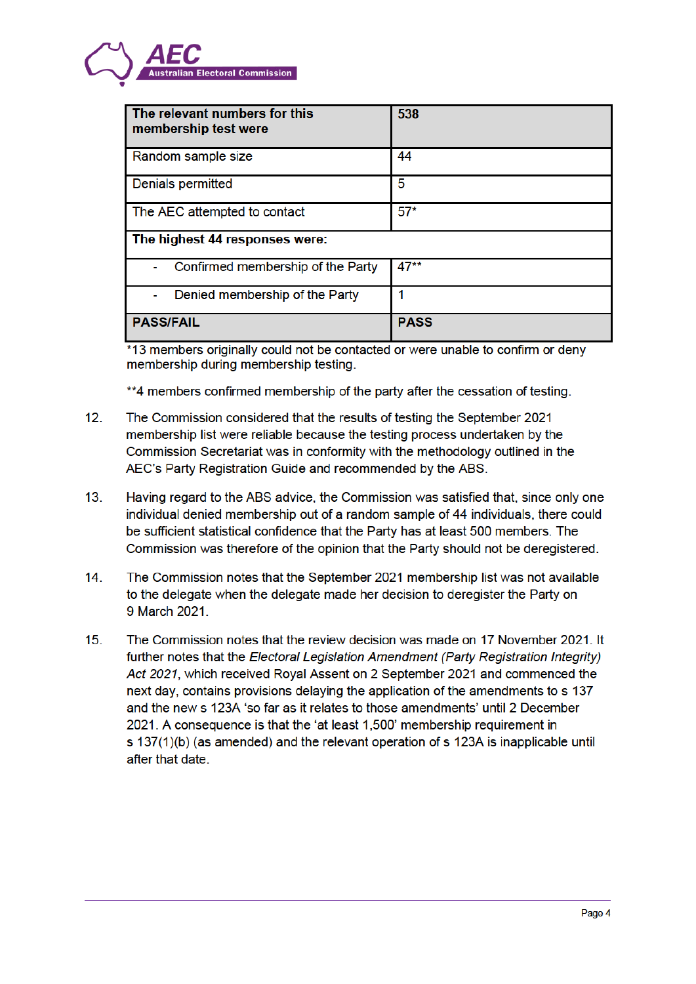# ian Electoral Commission

| The relevant numbers for this<br>membership test were | 538         |  |
|-------------------------------------------------------|-------------|--|
| Random sample size                                    | 44          |  |
| Denials permitted                                     | 5           |  |
| The AEC attempted to contact                          | $57*$       |  |
| The highest 44 responses were:                        |             |  |
| Confirmed membership of the Party                     | $47**$      |  |
| Denied membership of the Party                        |             |  |
| <b>PASS/FAIL</b>                                      | <b>PASS</b> |  |

\*13 members originally could not be contacted or were unable to confirm or deny membership during membership testing.

\*\*4 members confirmed membership of the party after the cessation of testing.

- $12.$ The Commission considered that the results of testing the September 2021 membership list were reliable because the testing process undertaken by the Commission Secretariat was in conformity with the methodology outlined in the AEC's Party Registration Guide and recommended by the ABS.
- $13<sup>1</sup>$ Having regard to the ABS advice, the Commission was satisfied that, since only one individual denied membership out of a random sample of 44 individuals, there could be sufficient statistical confidence that the Party has at least 500 members. The Commission was therefore of the opinion that the Party should not be deregistered.
- $14.$ The Commission notes that the September 2021 membership list was not available to the delegate when the delegate made her decision to deregister the Party on 9 March 2021.
- $15.$ The Commission notes that the review decision was made on 17 November 2021. It further notes that the Electoral Legislation Amendment (Party Registration Integrity) Act 2021, which received Roval Assent on 2 September 2021 and commenced the next day, contains provisions delaying the application of the amendments to s 137 and the new s 123A 'so far as it relates to those amendments' until 2 December 2021. A consequence is that the 'at least 1.500' membership requirement in s 137(1)(b) (as amended) and the relevant operation of s 123A is inapplicable until after that date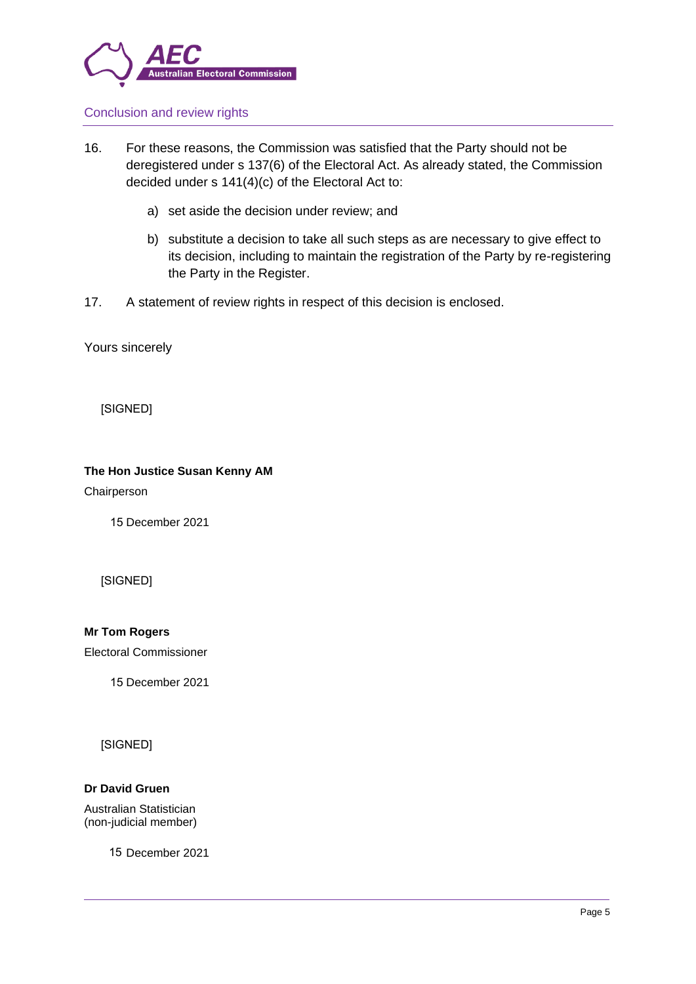

# Conclusion and review rights

- 16. For these reasons, the Commission was satisfied that the Party should not be deregistered under s 137(6) of the Electoral Act. As already stated, the Commission decided under s 141(4)(c) of the Electoral Act to:
	- a) set aside the decision under review; and
	- b) substitute a decision to take all such steps as are necessary to give effect to its decision, including to maintain the registration of the Party by re-registering the Party in the Register.
- 17. A statement of review rights in respect of this decision is enclosed.

Yours sincerely

[SIGNED]

## **The Hon Justice Susan Kenny AM**

Chairperson

15 December 2021

[SIGNED]

**Mr Tom Rogers**

Electoral Commissioner

15 December 2021

[SIGNED]

## **Dr David Gruen**

Australian Statistician (non-judicial member)

15 December 2021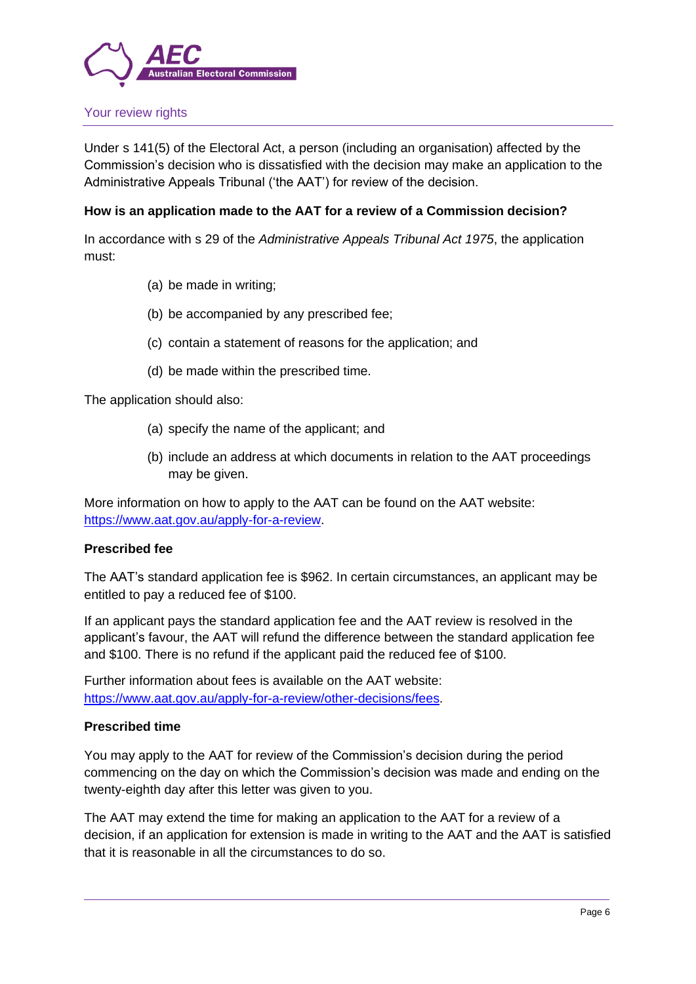

## Your review rights

Under s 141(5) of the Electoral Act, a person (including an organisation) affected by the Commission's decision who is dissatisfied with the decision may make an application to the Administrative Appeals Tribunal ('the AAT') for review of the decision.

## **How is an application made to the AAT for a review of a Commission decision?**

In accordance with s 29 of the *Administrative Appeals Tribunal Act 1975*, the application must:

- (a) be made in writing;
- (b) be accompanied by any prescribed fee;
- (c) contain a statement of reasons for the application; and
- (d) be made within the prescribed time.

The application should also:

- (a) specify the name of the applicant; and
- (b) include an address at which documents in relation to the AAT proceedings may be given.

More information on how to apply to the AAT can be found on the AAT website: https://www.aat.gov.au/apply-for-a-review.

## **Prescribed fee**

The AAT's standard application fee is \$962. In certain circumstances, an applicant may be entitled to pay a reduced fee of \$100.

If an applicant pays the standard application fee and the AAT review is resolved in the applicant's favour, the AAT will refund the difference between the standard application fee and \$100. There is no refund if the applicant paid the reduced fee of \$100.

Further information about fees is available on the AAT website: https://www.aat.gov.au/apply-for-a-review/other-decisions/fees.

## **Prescribed time**

You may apply to the AAT for review of the Commission's decision during the period commencing on the day on which the Commission's decision was made and ending on the twenty-eighth day after this letter was given to you.

The AAT may extend the time for making an application to the AAT for a review of a decision, if an application for extension is made in writing to the AAT and the AAT is satisfied that it is reasonable in all the circumstances to do so.